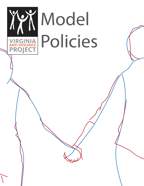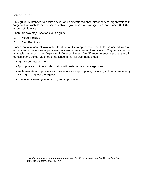# **Introduction**

This guide is intended to assist sexual and domestic violence direct service organizations in Virginia that wish to better serve lesbian, gay, bisexual, transgender, and queer (LGBTQ) victims of violence.

There are two major sections to this guide:

- 1. Model Policies
- 2. Best Practices

Based on a review of available literature and examples from the field, combined with an understanding of issues of particular concern to providers and survivors in Virginia, as well as available resources, the Virginia Anti-Violence Project (VAVP) recommends a process within domestic and sexual violence organizations that follows these steps:

- Agency self-assessment.
- Appropriate and timely collaboration with external resource agencies.
- Implementation of policies and procedures as appropriate, including cultural competency training throughout the agency.
- Continuous learning, evaluation, and improvement.

<span id="page-1-0"></span>*This document was created with funding from the Virginia Department of Criminal Justice Services Grant #10-B5942DV10.*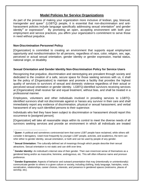# **Model Policies for Service Organizations**

As part of the process of making your organization more inclusive of lesbian, gay, bisexual, transgender and queer<sup>[1](#page-1-0)</sup> (LGBTQ) people, it is essential that non-discrimination and anti-harassment policies include language specifically addressing sexual orientation<sup>[2](#page-2-0)</sup> and gender identity<sup>[3](#page-2-1)</sup> or expression<sup>[4](#page-2-2)</sup>. By promoting an open, accepting environment with both your employment and service practices, you affirm your organization's commitment to serve those in need without prejudice.

## **Non-Discrimination Personnel Policy**

[Organization] is committed to creating an environment that supports equal employment opportunity and nondiscrimination for all persons, regardless of race, color, religion, sex, age, perceived or actual sexual orientation, gender identity or gender expression, marital status, national origin, or disability.

### **Sexual Orientation and Gender Identity Non-Discrimination Policy for Service Users**

Recognizing that prejudice, discrimination and stereotyping are prevalent through society and dedicated to the creation of a safe, secure space for those seeking services with us, it shall be the policy of [Organization] to maintain and promote a facility that provides the highest quality of services to survivors of sexual and domestic violence regardless of their actual or perceived sexual orientation or gender identity. LGBTQ-identified survivors receiving services at [Organization] shall receive fair and equal treatment, without bias, and shall be treated in a professional manner.

Employees, volunteers and other individuals involved in providing services to LGBTQidentified survivors shall not discriminate against or harass any survivor in their care and shall immediately report any evidence of discrimination, physical or sexual harassment, and verbal harassment of any such identified persons to their supervisor.

Individuals who feel they have been subject to discrimination or harassment should report this occurrence to [assigned person].

[Organization] will take all reasonable steps within its control to meet the diverse needs of all survivors seeking services and provide an environment in which all individuals are treated

<sup>1</sup> **Queer:** A political and sometimes controversial term that some LGBT people have reclaimed, while others still consider it derogatory. Used most frequently by younger LGBT people, activists, and academics, the term can refer either to gender identity, sexual orientation, or both and can be used by people of any gender.

<span id="page-2-0"></span><sup>2</sup> **Sexual Orientation:** The culturally-defined set of meanings through which people describe their sexual attractions. Sexual orientation is not static and can shift over time.

<span id="page-2-3"></span><span id="page-2-1"></span><sup>3</sup> **Gender Identity:** An individual's internal view of their gender. Their own innermost sense of themselves as a gendered being and/or as masculine, feminine, androgynous, etc. This will often influence name and pronoun preference.

<span id="page-2-2"></span><sup>4</sup> **Gender Expression:** Aspects of behavior and outward presentation that may (intentionally or unintentionally) communicate gender to others in a given culture or society, including clothing, body language, hairstyles, voice, socialization, relationships, career choices, interests, and presence in gendered spaces (restrooms, places of worship, etc).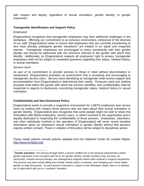with respect and dignity, regardless of sexual orientation, gender identity, or gender expression.

### **Transgender Identification and Support Policy**

### *Employees*

[Organization] recognizes that transgender employees may face additional challenges in the workplace. Affirming our commitment to an inclusive environment, embracive of the diversity of our staff, [Organization] seeks to ensure that employees who are currently transitioning or who have already undergone gender transitions<sup>[5](#page-2-3)</sup> are treated in an equal and respectful manner. Transgender employees are encouraged to dress consistently with their gender identity and should be addressed with the pronouns relevant to the gender with which they identify. Additionally, as [Organization] respects all employees' right to privacy, transgender employees shall not be subject to unwanted questions regarding their status, medical history, or sexual orientation.

#### *Service Users*

As part of its commitment to provide services to those in need without discrimination or harassment, [Organization] promotes an environment that is accepting and encouraging to transgender service users. Service users identifying as transgender shall receive support and accommodation from [Organization] in determining their needs. Pronouns used and clothing provided shall reflect the gender with which the survivor identifies, and confidentiality shall be respected in regards to disclosures concerning transgender status, medical history or sexual orientation.

### **Confidentiality and Non-Disclosure Policy**

[Organization] seeks to provide a supportive environment for LGBTQ employees and service users by treating with respect those persons who are open about their sexual orientation or gender identity. [Organization] also recognizes that some people might not wish to share this information with fellow employees, service users, or others involved in the organization and is equally dedicated to respecting the confidentiality of those persons. Employees, volunteers, and other individuals involved in the operation of [Organization] will never reveal sensitive information about an individual's sexual orientation or gender identity without that person's express written consent. Those in violation of this policy will be subject to disciplinary action.

These model policies include policies adapted from the National Center for Lesbian Rights, [http://www.nclrights.org/.](http://www.nclrights.org/)

<sup>5</sup> **Gender transition:** The process through which a person modifies his or her physical characteristics and/or gender expression to be consistent with his or her gender identity. Gender transition may, *but does not necessarily*, include hormone therapy, sex reassignment surgeries and/or other medical or surgical components. The process may also include telling one's family, friends and/or co-workers, and changing one's name and/or gender on legal documents. As each person's transition is unique to that individual's needs, there is no defined set of steps which add up to a "complete" transition.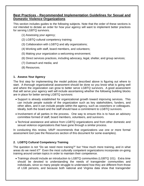# **Best Practices - Recommended Implementation Guidelines for Sexual and Domestic Violence Organizations**

This section includes guides to the following subjects. Note that the order of these sections is *not* intended to dictate an order for how your agency will want to implement better practices for serving LGBTQ survivors.

- (1) Assessing your agency;
- (2) LGBTQ cultural competency training;
- (3) Collaboration with LGBTQ and ally organizations;
- (4) Working with staff, board members, and volunteers;
- (5) Making your organization a welcoming environment;
- (6) Direct services practices, including advocacy, legal, shelter, and group services;
- (7) Outreach and media; and
- (8) Resources.

### **1. Assess Your Agency**

The first step for implementing the model policies described above is figuring out where to start. A thorough organizational assessment should be done so you know what is going well and where the organization can grow to better serve LGBTQ survivors. A good assessment that will serve your agency well will include ascertaining whether the following building blocks are in place for better serving LGBTQ survivors:

- Support is already established for organizational growth toward improving services. This can include people outside of the organization such as key stakeholders, funders, and other allies, and it can include people within the agency, such as coworkers or colleagues. Ideally, both the board and the staff should have a commitment to LGBTQ survivors.
- Involvement of all parties in the process. One way to ensure this is to have an advisory committee formed of staff, board members, volunteers, and survivors.
- Technical assistance and advice from LGBTQ organizations and from other domestic and sexual violence organizations that have gone through a similar process.

In conducting this review, VAVP recommends that organizations use one or more formal assessment tool (see the Resources section of this document for some examples).

## **2. LGBTQ Cultural Competency Training**

The question is not "Do we need more training?" but "How much more training, and in what areas do we need it?" Even the most culturally competent organizations incorporate on-going training around certain topics in order to maintain their competence.

• Trainings should include an introduction to LGBTQ communities (LGBTQ 101). Extra time should be devoted to understanding the needs of transgender communities and individuals, since so many people struggle to understand how they are different from those of LGB persons, and because both national and Virginia data show that transgender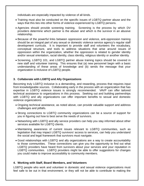individuals are especially impacted by violence of all kinds.

- Training must also be conducted on the specific issues of LGBTQ partner abuse and the ways that this ties into other forms of violence experienced by LGBTQ persons.
- Agencies should provide screening training. Screening is the process by which DV providers determine which partner is the abuser and which is the survivor in an abusive relationship.
- Because of the powerful links between oppression and violence, anti-oppression training should be an integral part of any sexual or domestic violence service agency's regular staff development curricula. It is important to provide staff and volunteers the vocabulary, conceptual structure, and tools to address situations that arise around issues of oppression within the organization, whether the oppression is related to gender identity and/or sexual orientation, racial identity, class identity, religious identity or another identity.
- Screening, LGBTQ 101, and LGBTQ partner abuse training topics should be covered in new staff and volunteer training. This ensures that (a) new personnel begin with a basic understanding of these areas of knowledge and (b) sends the message that your organization is inclusive of LGBTQ people.

## **3. Collaborate with LGBTQ and Ally Organizations**

Becoming truly LGBTQ inclusive is a demanding, and rewarding, process that requires input from knowledgeable sources. Collaborating early in the process with an organization that has expertise in LGBTQ violence issues is strongly recommended. VAVP can offer tailored technical assistance to organizations in this process. Seeking out and building partnerships with LGBTQ and ally organizations can offer important benefits to sexual and domestic violence organizations:

- Ongoing technical assistance, as noted above, can provide valuable support and address challenges and pitfalls.
- Strong connections to LGBTQ community organizations can be a source of support for you in figuring out how to best serve the needs of survivors.
- Networking with LGBTQ and ally service providers can help you stay informed about other services available for LGBTQ clients.
- Maintaining awareness of current issues relevant to LGBTQ communities, such as legislation that may impact LGBTQ survivors' access to services, can help you understand the social and legal framework that survivors must navigate.
- Good relationships with LGBTQ and ally organizations are a way to create accountability to those communities. These connections can give you the opportunity to find out what LGBTQ providers have heard from survivors about your services and your reputation in LGBTQ communities. LGBTQ providers might be able to offer suggestions for changes you could make to improve accessibility to community members.

## **4. Working with Staff, Board Members, and Volunteers**

LGBTQ people who work and volunteer in domestic and sexual violence organizations must feel safe to be out in that environment, or they will not be able to contribute to making the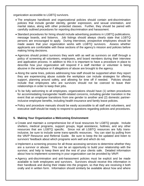organization accessible to LGBTQ survivors.

- The employee handbook and organizational policies should contain anti-discrimination policies that include gender identity, gender expression, and sexual orientation, and marital status, along with other protected classes. Further, they should be paired with carefully outlined procedures for reporting discrimination and harassment.
- Standard procedures for hiring should include advertising positions in LGBTQ publications, message boards, and listservs. Job listings should always clearly state that LGBTQ persons are encouraged to apply. During interviews, prospective employees should be made aware that your organization works with LGBTQ survivors. Assess whether applicants are comfortable with these sections of the agency's mission and policies before making hiring decisions.
- Agencies should protect survivors they work with as well as survivors on staff through a policy of screening all volunteers, employees, and board members during their interview and application process. In addition to this it is important to have a procedure in place to describe how your organization will respond if a staff member or volunteer is being abusive in the workplace or if allegations of abuse are brought to the agency.
- Along the same lines, policies addressing how staff should be supported when they report they are experiencing abuse outside the workplace can include strategies for offering support, planning around safety, and allowing for time off if needed. Policies should include that employees who are survivors should not be coerced to leave their relationships in order to keep their jobs.
- To be fully welcoming to all employees, organizations should have (1) written procedures for accommodating transgender health-related concerns, including gender transition in the event that an employee transitions from one gender to another and (2) domestic partnerinclusive employee benefits, including health insurance and family leave policies.
- Policy and procedure manuals should be easily accessible to all staff and volunteers, and executive staff should be ready to respond to questions regarding policies and procedures.

## **5. Making Your Organization a Welcoming Environment**

- Create and maintain a comprehensive list of local resources for LGBTQ people. Include shelters, medical programs, support groups, legal assistance, hotlines, and any other resources that are LGBTQ specific. Since not all LGBTQ resources are fully transinclusive, be sure to include some trans-specific resources. You can start by pulling from the VAVP Resource and Referral Guide. Be sure to keep the list updated and listen to survivors' feedback about which programs work well and which do not.
- Implement a screening process for all those accessing services to determine whether they are a survivor or abuser. This can be an opportunity to build your relationship with the survivor, and help to keep them and the rest of your clients safe. Detailed information about how to implement screening in your organization can be provided by VAVP.
- Agency anti-discrimination and anti-harassment policies must be explicit and be made available to both employees and survivors. Survivors should receive this information in their handbook and during their intake into the program, so that they are receiving it both orally and in written form. Information should similarly be available about how and where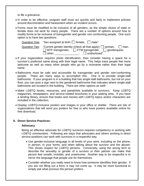to file a grievance.

- In order to be effective, program staff must act quickly and fairly to implement policies around discrimination and harassment when an incident occurs.
- Forms must be modified to be inclusive of all genders, as the simple choice of male or female does not work for many people. There are a number of options around how to modify forms to be inclusive of transgender and gender non-conforming people. One such option is to have two questions:

Question One: "Sex assigned at birth:  $\Box$  female,  $\Box$  male"

Question Two: "Current gender identity (check all that apply):  $\Box$  woman,  $\Box$  man,  $\Box$  MTF transgender,  $\Box$  FTM transgender,  $\Box$  genderqueer,  $\Box$  other:  $\Box$  undisclosed".

- If your organization requires photo identification, then consider having a space for a survivor's preferred name along with their legal name. This helps trans people feel more welcome as well as many other people who go by a nickname rather than their legal name.
- Bathrooms must be safe and accessible for transgender and gender non-conforming people. There are many ways to accomplish this. One is to provide single-stall bathrooms. If your program is in a building that has single-stall bathrooms, but not on your floor, you can post a sign next to the gendered bathrooms that indicates where single-stall bathrooms are located in the building. There are other options as well!
- Make LGBTQ books, resources, and pamphlets available to survivors. Keep LGBTQ magazines, newspapers, and service-related brochures in your waiting area. If you have a lending library, ensure that books and movies with LGBTQ topics and/or characters are included in the collection.
- Display LGBTQ-inclusive posters and images in your office or shelter. There are lots of organizations that will send you posters for free or who have posters available online for free download.

### **6. Direct Service Practices:**

### **Advocacy**

Being an effective advocate for LGBTQ survivors requires competency in working with LGBTQ communities. Following are ways that advocates and others working in direct service positions can work with survivors in a respectful way.

- Use gender-inclusive language in all levels of your work, including on the phone, in person, in your forms, and when talking about the survivor and the abuser. This shows respect for LGBTQ persons. Conversely, using the wrong term to describe the sexuality or gender of a survivor or their partner can make that person feel unsafe, invisible, and unwelcome. Another way to be respectful is to mirror the language that people use for themselves.
- Consider whether you really need to know how someone identifies their gender. If you are not filling out a form, it may not come up. It may be more functional to simply ask what pronoun the person prefers.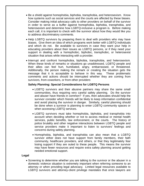- Be a shield against homophobia, biphobia, transphobia, and heterosexism. Know how systems such as social services and the courts are affected by these biases. Consider making initial advocacy calls to other providers on behalf of the survivor in order to serve as a buffer against homophobia, biphobia, transphobia, and heterosexism and determine how LGBTQ-inclusive a program is. Before making each call, it is important to check with the survivor about how they would like you to address discriminatory comments.
- Help LGBTQ survivors by preparing them to deal with providers who may have biases. Give them an idea of which programs work better with LGBTQ individuals and which do not. Be available to survivors in case they want your help in educating providers about their issues as LGBTQ persons, or if they need your support in dealing with a homophobic, biphobic, transphobic, or heterosexist situation that arises while interacting with a provider.
- Interrupt and confront homophobia, biphobia, transphobia, and heterosexism. When these kinds of remarks or situations go unaddressed, LGBTQ people and their allies can feel hurt, humiliated, angry, embarrassed, or threatened. Additionally, the person making the remark or creating the situation gets the message that it is acceptable to behave in this way. These problematic comments and actions should be interrupted whether they are coming from survivors, from coworkers, or from other providers

### **Safety Planning: Special Considerations for LGBTQ Persons**

- LGBTQ survivors and their abusive partners may share the same small communities, thus requiring very careful safety planning. Do the survivor and abuser have friends in common? If yes, then advocates should help the survivor consider which friends will be likely to keep information confidential and avoid placing the survivor in danger. Similarly, careful planning should be done when a survivor is planning to enter LGBTQ community spaces or when accessing LGBTQ services.
- LGBTQ survivors must take homophobia, biphobia, and transphobia into account when deciding whether or not to access medical or mental health services, public benefits, law enforcement, or the courts. The history of police brutality and other negative interactions between LGBTQ people and service providers make it important to listen to survivors' feelings and concerns during safety planning.
- Homophobia, biphobia, and transphobia can also mean that a LGBTQ survivor either does not have support from family members, their faith community, healthcare providers, and others, or that they legitimately fear losing support if they are outed to these people. This means the survivor may have fewer resources and require extra safety planning around getting needed emotional support.

### **Legal**

• Screening to determine whether you are talking to the survivor or the abuser in a domestic violence situation is extremely important when referring someone to an attorney or when providing legal advocacy. Limited legal resources available to LGBTQ survivors and attorney-client privilege mandates that once lawyers are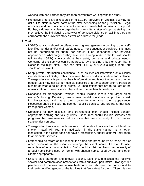working with one partner, they are then barred from working with the other.

• Protective orders are a resource in to LGBTQ survivors in Virginia, but may be difficult to attain in some parts of the state depending on the jurisdiction. Legal advocacy and court accompaniment can be extremely helpful means of support. Further, a domestic violence organization can write a letter of support stating that they believe the individual is a survivor of domestic violence or stalking; they can corroborate the survivor's story as well as educate the judge.

#### **Shelter**

- LGBTQ survivors should be offered sleeping arrangements according to their selfidentified gender and/or their safety needs. For transgender survivors, this must not be determined for them, nor should it be dependant upon physical appearance or what surgeries they have had. During intake, a shelter staff should talk to the LGBTQ survivor about their safety concerns and privacy needs. Concerns of the survivor can be addressed by providing a bed or room that is closer to the night staff. Staff can offer LGBTQ survivors a single room, but should not require it.
- Keep private information confidential, such as medical information or a client's identification as LGBTQ. This minimizes the risk of discrimination and violence. Transgender status is personal health information and is not the concern of other people. Staff may not ask for medical specifics of a transgender client's transition outside of what is asked of all clients (i.e. medications that are to be kept at the administration counter, specific physical and mental health needs, etc.).
- Donations for transgender women should include razors and larger sized women's clothing. Depriving trans women the ability to shave can put them at risk for harassment and make them uncomfortable about their appearance. Resources should include transgender specific services and programs that take transgender women.
- Donations for gay, bisexual, and transgender men should include genderappropriate clothing and toiletry items. Resources should include services and programs that take men as well as some that are specifically for men and/or transgender persons.
- Transgender clients who use hormones must be able to access them while at the shelter. Staff will treat this medication in the same manner as all other medication. If the client does not have a prescription, shelter staff will refer them to appropriate services.
- Staff should be aware of and respect the name and pronouns ("he," "she," "ze," or other pronouns of the client's choosing) the client would like staff to use, regardless of legal documentation. Staff should explain to clients the necessity of a legal name being used on forms, with chosen names used by staff and other clients appropriately.
- Ensure safe bathroom and shower options. Staff should discuss the facility's shower and bathroom accommodations with a survivor upon intake. Transgender people should be welcome to use bathrooms and showers that correspond to their self-identified gender or the facilities that feel safest for them. Often this can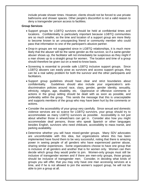include private shower times. However, clients should not be forced to use private bathrooms and shower spaces. Other people's discomfort is not a valid reason to deny a transgender person access to facilities.

#### **Group Services**

- Support groups for LGBTQ survivors should be held at confidential times and locations. Confidentiality is particularly important because LGBTQ communities are so much smaller, so the time and location of a support group are more likely to become known to an unsuspecting friend or community member who could pass that information to one of the participant's abusive partner.
- Drop-in groups are not suggested since in LGBTQ relationships, it is much more likely that the abuser will be the same gender as the survivor, so if a same-gender abuser shows up, the facilitator will not immediately be suspicious as they might if a man shows up to a straight group for women. The location and time of a group should therefore be given out on a need-to-know basis.
- Screening is essential to provide safe LGBTQ inclusive support groups. Since LGBTQ abusers can easily pose as survivors and access support groups, they can be a real safety problem for both the survivor and the other participants and facilitators.
- Support group guidelines should have clear and strict boundaries about confidentiality. Guidelines should also include your organization's antidiscrimination policies around race, class, gender, gender identity, sexuality, ethnicity, religion, age, disability, etc. Oppressive or offensive comments or actions in the group setting should be dealt with as soon as possible, and preferably within the group. This sends the message that this is unacceptable and supports members of the group who may have been hurt by the comments or actions.
- Consider the accessibility of your group very carefully. Since sexual and domestic violence services are so scarce for LGBTQ survivors, your group should try to accommodate as many LGBTQ survivors as possible. Accessibility is not just about whether those in wheelchairs can get in. Consider also how you might accommodate deaf persons, those who speak Spanish or other languages besides English, survivors who need childcare, accessibility to mass transit, and parking availability.
- Determine whether you will have mixed-gender groups. Many SDV advocates are uncomfortable with this idea, but organizations where this has been implemented have found them to be very successful, noting that there is amazing power in seeing people of all genders who have experienced partner abuse, sharing similar experiences. Some organizations choose to have one group that is inclusive of all genders and another that is for women only. Women can then decide which group they would prefer to join. Women-only groups must still be inclusive of transgender women and if there are men-only groups, those groups should be inclusive of transgender men. Consider, in deciding what kinds of groups you will offer, that you may only have one man accessing services at a time, and if he is not allowed to join the women's support group, he will not be able to join a group at all.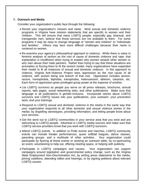### **7. Outreach and Media**

Consider your organization's public face through the following:

- Revisit your organization's mission and name. Most sexual and domestic violence programs in Virginia have mission statements that are specific to women and their children. This will ensure that many LGBTQ people, especially gay, bisexual, and transgender men, believe that those services are not available to them. For some programs it may be easy to change language of "women and children" to "individuals and families". Others may face more difficult challenges because their name is centered on women.
- Re-examine your agency's philosophical approach to violence. While there is value in feminist analysis of sexism as the root of cause of domestic violence and rape, that explanation is insufficient when trying to explain why women assault other women or why men abuse their male partners. Rather than trying to say that these situations are anomalies or forcing them to fit the sexism model, many organizations have expanded their model to fit all instances of sexual and domestic violence. In this approach to violence, Virginia Anti-Violence Project sees oppression as the root cause of all violence, with sexism being one branch of that root. Oppression includes sexism, racism, homophobia, biphobia, transphobia, heterosexism, ableism, classism, etc. Each form of oppression gives privileged group power at the expense of another.
- List LGBTQ survivors as people you serve on all press releases, brochures, annual reports, web pages, social networking sites, and other publications. Make sure that language in all publications is gender-inclusive. Incorporate stories about LGBTQ survivors and LGBTQ issues into your publications, your outreach, your prevention work, and your trainings.
- Respond to LGBTQ sexual and domestic violence in the media in the same way that your organization responds to all other domestic and sexual violence stories in the media: by dispelling stereotypes, providing information, and letting people know about your services.
- Get the word out to LGBTQ communities in your service area that you exist and are welcoming to LGBTQ people. Advertise in LGBTQ media sources and make sure that LGBTQ service providers know that you work with LGBTQ survivors.
- Attend LGBTQ events. In addition to Pride events and marches, LGBTQ community events can include theater performances, queer softball leagues, dance classes, parenting groups, and a multitude of other activities. Your organization could participate by flyering at these events or working an outreach table, by co-sponsoring an event, volunteering to help out, offering meeting space, or helping with publicity.
- Participate in LGBTQ campaigns and causes. Your organization can support campaigns around legislation and governmental policy change, such as the Virginia State Employment Non-Discrimination Act, by writing press statements to the media, joining coalitions, attending rallies and hearings, or by signing petitions about relevant LGBTQ causes.